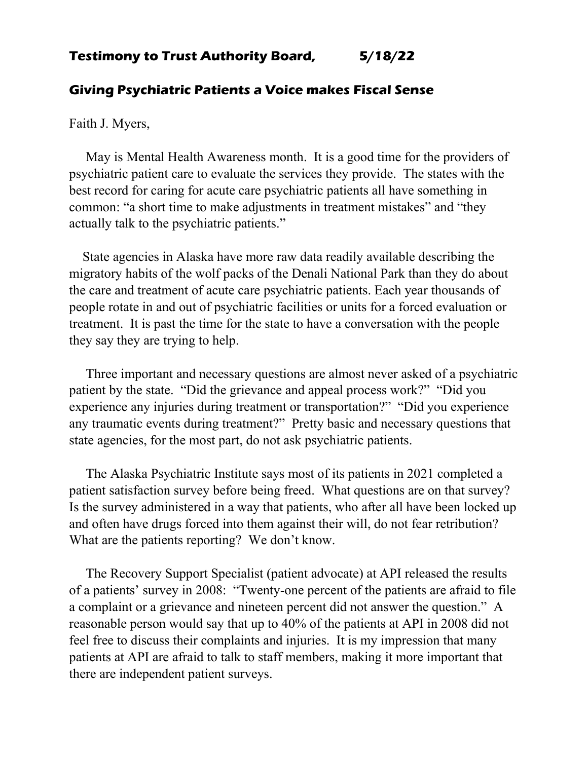## **Testimony to Trust Authority Board, 5/18/22**

## **Giving Psychiatric Patients a Voice makes Fiscal Sense**

Faith J. Myers,

 May is Mental Health Awareness month. It is a good time for the providers of psychiatric patient care to evaluate the services they provide. The states with the best record for caring for acute care psychiatric patients all have something in common: "a short time to make adjustments in treatment mistakes" and "they actually talk to the psychiatric patients."

 State agencies in Alaska have more raw data readily available describing the migratory habits of the wolf packs of the Denali National Park than they do about the care and treatment of acute care psychiatric patients. Each year thousands of people rotate in and out of psychiatric facilities or units for a forced evaluation or treatment. It is past the time for the state to have a conversation with the people they say they are trying to help.

 Three important and necessary questions are almost never asked of a psychiatric patient by the state. "Did the grievance and appeal process work?" "Did you experience any injuries during treatment or transportation?" "Did you experience any traumatic events during treatment?" Pretty basic and necessary questions that state agencies, for the most part, do not ask psychiatric patients.

 The Alaska Psychiatric Institute says most of its patients in 2021 completed a patient satisfaction survey before being freed. What questions are on that survey? Is the survey administered in a way that patients, who after all have been locked up and often have drugs forced into them against their will, do not fear retribution? What are the patients reporting? We don't know.

 The Recovery Support Specialist (patient advocate) at API released the results of a patients' survey in 2008: "Twenty-one percent of the patients are afraid to file a complaint or a grievance and nineteen percent did not answer the question." A reasonable person would say that up to 40% of the patients at API in 2008 did not feel free to discuss their complaints and injuries. It is my impression that many patients at API are afraid to talk to staff members, making it more important that there are independent patient surveys.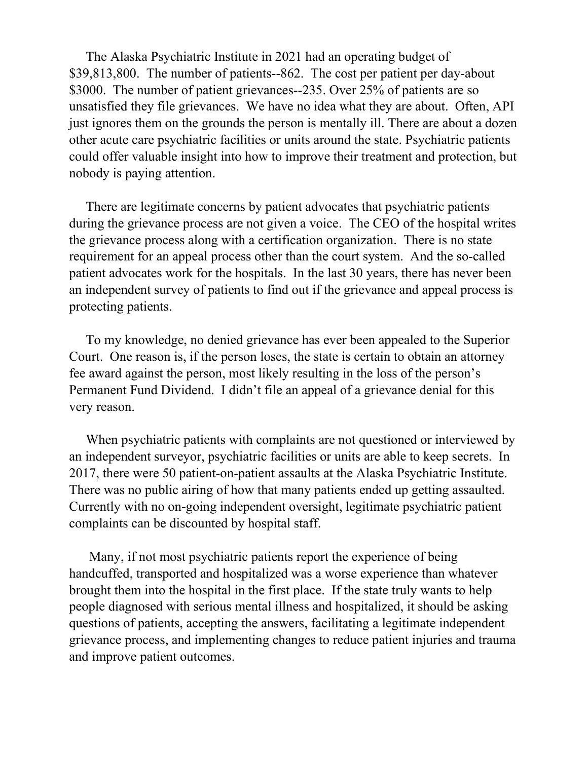The Alaska Psychiatric Institute in 2021 had an operating budget of \$39,813,800. The number of patients--862. The cost per patient per day-about \$3000. The number of patient grievances--235. Over 25% of patients are so unsatisfied they file grievances. We have no idea what they are about. Often, API just ignores them on the grounds the person is mentally ill. There are about a dozen other acute care psychiatric facilities or units around the state. Psychiatric patients could offer valuable insight into how to improve their treatment and protection, but nobody is paying attention.

 There are legitimate concerns by patient advocates that psychiatric patients during the grievance process are not given a voice. The CEO of the hospital writes the grievance process along with a certification organization. There is no state requirement for an appeal process other than the court system. And the so-called patient advocates work for the hospitals. In the last 30 years, there has never been an independent survey of patients to find out if the grievance and appeal process is protecting patients.

 To my knowledge, no denied grievance has ever been appealed to the Superior Court. One reason is, if the person loses, the state is certain to obtain an attorney fee award against the person, most likely resulting in the loss of the person's Permanent Fund Dividend. I didn't file an appeal of a grievance denial for this very reason.

 When psychiatric patients with complaints are not questioned or interviewed by an independent surveyor, psychiatric facilities or units are able to keep secrets. In 2017, there were 50 patient-on-patient assaults at the Alaska Psychiatric Institute. There was no public airing of how that many patients ended up getting assaulted. Currently with no on-going independent oversight, legitimate psychiatric patient complaints can be discounted by hospital staff.

 Many, if not most psychiatric patients report the experience of being handcuffed, transported and hospitalized was a worse experience than whatever brought them into the hospital in the first place. If the state truly wants to help people diagnosed with serious mental illness and hospitalized, it should be asking questions of patients, accepting the answers, facilitating a legitimate independent grievance process, and implementing changes to reduce patient injuries and trauma and improve patient outcomes.